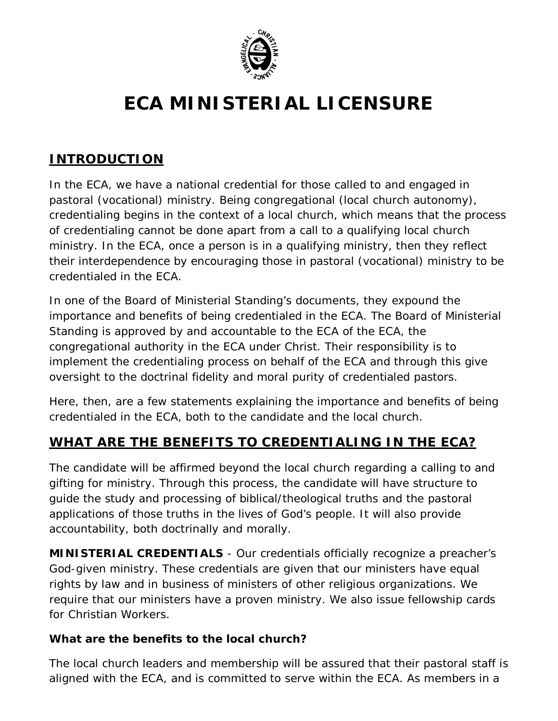

# **ECA MINISTERIAL LICENSURE**

## **INTRODUCTION**

In the ECA, we have a national credential for those called to and engaged in pastoral (vocational) ministry. Being congregational (local church autonomy), credentialing begins in the context of a local church, which means that the process of credentialing cannot be done apart from a call to a qualifying local church ministry. In the ECA, once a person is in a qualifying ministry, then they reflect their interdependence by encouraging those in pastoral (vocational) ministry to be credentialed in the ECA.

In one of the Board of Ministerial Standing's documents, they expound the importance and benefits of being credentialed in the ECA. The Board of Ministerial Standing is approved by and accountable to the ECA of the ECA, the congregational authority in the ECA under Christ. Their responsibility is to implement the credentialing process on behalf of the ECA and through this give oversight to the doctrinal fidelity and moral purity of credentialed pastors.

Here, then, are a few statements explaining the importance and benefits of being credentialed in the ECA, both to the candidate and the local church.

## **WHAT ARE THE BENEFITS TO CREDENTIALING IN THE ECA?**

The candidate will be affirmed beyond the local church regarding a calling to and gifting for ministry. Through this process, the candidate will have structure to guide the study and processing of biblical/theological truths and the pastoral applications of those truths in the lives of God's people. It will also provide accountability, both doctrinally and morally.

**MINISTERIAL CREDENTIALS** - Our credentials officially recognize a preacher's God-given ministry. These credentials are given that our ministers have equal rights by law and in business of ministers of other religious organizations. We require that our ministers have a proven ministry. We also issue fellowship cards for Christian Workers.

#### **What are the benefits to the local church?**

The local church leaders and membership will be assured that their pastoral staff is aligned with the ECA, and is committed to serve within the ECA. As members in a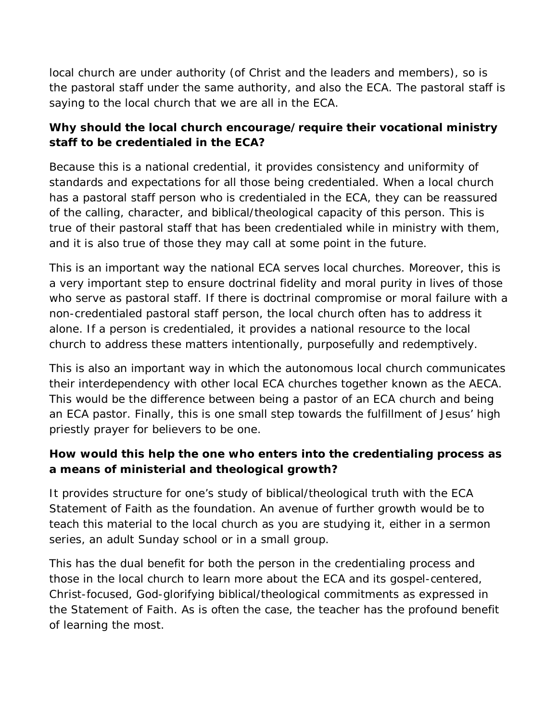local church are under authority (of Christ and the leaders and members), so is the pastoral staff under the same authority, and also the ECA. The pastoral staff is saying to the local church that we are all in the ECA.

## **Why should the local church encourage/require their vocational ministry staff to be credentialed in the ECA?**

Because this is a national credential, it provides consistency and uniformity of standards and expectations for all those being credentialed. When a local church has a pastoral staff person who is credentialed in the ECA, they can be reassured of the calling, character, and biblical/theological capacity of this person. This is true of their pastoral staff that has been credentialed while in ministry with them, and it is also true of those they may call at some point in the future.

This is an important way the national ECA serves local churches. Moreover, this is a very important step to ensure doctrinal fidelity and moral purity in lives of those who serve as pastoral staff. If there is doctrinal compromise or moral failure with a non-credentialed pastoral staff person, the local church often has to address it alone. If a person is credentialed, it provides a national resource to the local church to address these matters intentionally, purposefully and redemptively.

This is also an important way in which the autonomous local church communicates their interdependency with other local ECA churches together known as the AECA. This would be the difference between being a pastor of an ECA church and being an ECA pastor. Finally, this is one small step towards the fulfillment of Jesus' high priestly prayer for believers to be one.

## **How would this help the one who enters into the credentialing process as a means of ministerial and theological growth?**

It provides structure for one's study of biblical/theological truth with the ECA Statement of Faith as the foundation. An avenue of further growth would be to teach this material to the local church as you are studying it, either in a sermon series, an adult Sunday school or in a small group.

This has the dual benefit for both the person in the credentialing process and those in the local church to learn more about the ECA and its gospel-centered, Christ-focused, God-glorifying biblical/theological commitments as expressed in the Statement of Faith. As is often the case, the teacher has the profound benefit of learning the most.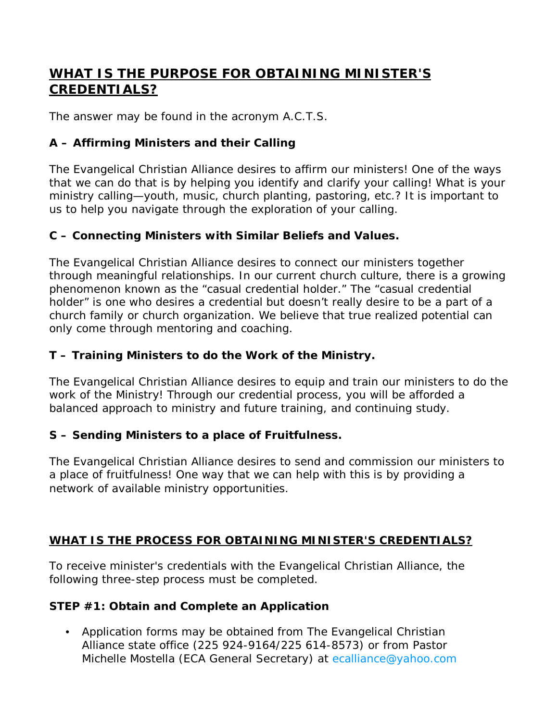## **WHAT IS THE PURPOSE FOR OBTAINING MINISTER'S CREDENTIALS?**

The answer may be found in the acronym A.C.T.S.

#### **A – Affirming Ministers and their Calling**

The Evangelical Christian Alliance desires to affirm our ministers! One of the ways that we can do that is by helping you identify and clarify your calling! What is your ministry calling—youth, music, church planting, pastoring, etc.? It is important to us to help you navigate through the exploration of your calling.

#### **C – Connecting Ministers with Similar Beliefs and Values.**

The Evangelical Christian Alliance desires to connect our ministers together through meaningful relationships. In our current church culture, there is a growing phenomenon known as the "casual credential holder." The "casual credential holder" is one who desires a credential but doesn't really desire to be a part of a church family or church organization. We believe that true realized potential can only come through mentoring and coaching.

#### **T – Training Ministers to do the Work of the Ministry.**

The Evangelical Christian Alliance desires to equip and train our ministers to do the work of the Ministry! Through our credential process, you will be afforded a balanced approach to ministry and future training, and continuing study.

#### **S – Sending Ministers to a place of Fruitfulness.**

The Evangelical Christian Alliance desires to send and commission our ministers to a place of fruitfulness! One way that we can help with this is by providing a network of available ministry opportunities.

## **WHAT IS THE PROCESS FOR OBTAINING MINISTER'S CREDENTIALS?**

To receive minister's credentials with the Evangelical Christian Alliance, the following three-step process must be completed.

#### **STEP #1: Obtain and Complete an Application**

• Application forms may be obtained from The Evangelical Christian Alliance state office (225 924-9164/225 614-8573) or from Pastor Michelle Mostella (ECA General Secretary) at [ecalliance@yahoo.com](mailto:ecalliance@yahoo.com)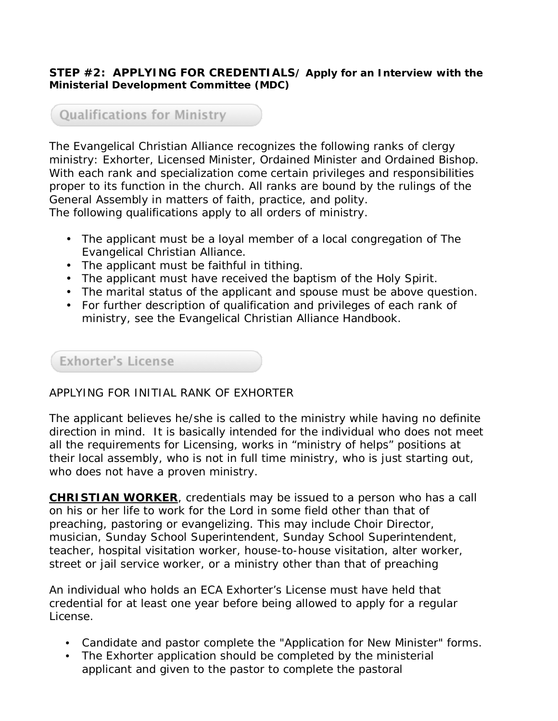#### **STEP #2: APPLYING FOR CREDENTIALS/ Apply for an Interview with the Ministerial Development Committee (MDC)**

## **Qualifications for Ministry**

The Evangelical Christian Alliance recognizes the following ranks of clergy ministry: Exhorter, Licensed Minister, Ordained Minister and Ordained Bishop. With each rank and specialization come certain privileges and responsibilities proper to its function in the church. All ranks are bound by the rulings of the General Assembly in matters of faith, practice, and polity. The following qualifications apply to all orders of ministry.

- The applicant must be a loyal member of a local congregation of The Evangelical Christian Alliance.
- The applicant must be faithful in tithing.
- The applicant must have received the baptism of the Holy Spirit.
- The marital status of the applicant and spouse must be above question.
- For further description of qualification and privileges of each rank of ministry, see the Evangelical Christian Alliance Handbook.

## Exhorter's License

#### APPLYING FOR INITIAL RANK OF EXHORTER

The applicant believes he/she is called to the ministry while having no definite direction in mind. It is basically intended for the individual who does not meet all the requirements for Licensing, works in "ministry of helps" positions at their local assembly, who is not in full time ministry, who is just starting out, who does not have a proven ministry.

**CHRISTIAN WORKER**, credentials may be issued to a person who has a call on his or her life to work for the Lord in some field other than that of preaching, pastoring or evangelizing. This may include Choir Director, musician, Sunday School Superintendent, Sunday School Superintendent, teacher, hospital visitation worker, house-to-house visitation, alter worker, street or jail service worker, or a ministry other than that of preaching

An individual who holds an ECA Exhorter's License must have held that credential for at least one year before being allowed to apply for a regular License.

- Candidate and pastor complete the "Application for New Minister" forms.
- The Exhorter application should be completed by the ministerial applicant and given to the pastor to complete the pastoral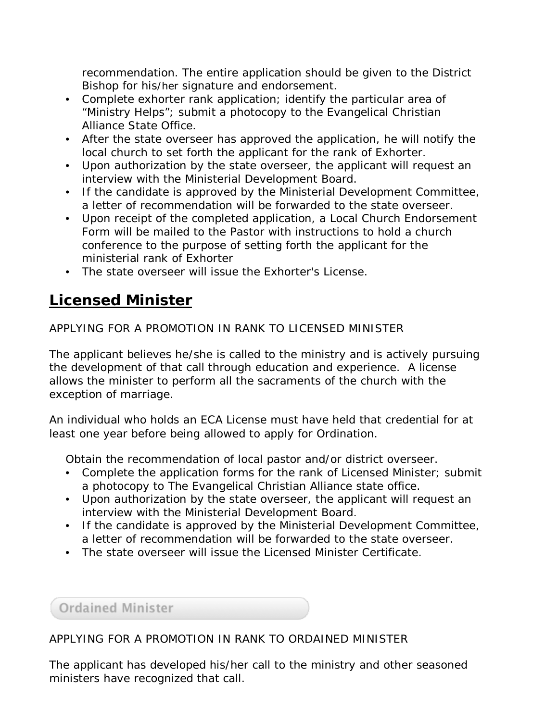recommendation. The entire application should be given to the District Bishop for his/her signature and endorsement.

- Complete exhorter rank application; identify the particular area of "Ministry Helps"; submit a photocopy to the Evangelical Christian Alliance State Office.
- After the state overseer has approved the application, he will notify the local church to set forth the applicant for the rank of Exhorter.
- Upon authorization by the state overseer, the applicant will request an interview with the Ministerial Development Board.
- If the candidate is approved by the Ministerial Development Committee, a letter of recommendation will be forwarded to the state overseer.
- Upon receipt of the completed application, a Local Church Endorsement Form will be mailed to the Pastor with instructions to hold a church conference to the purpose of setting forth the applicant for the ministerial rank of Exhorter
- The state overseer will issue the Exhorter's License.

## **Licensed Minister**

APPLYING FOR A PROMOTION IN RANK TO LICENSED MINISTER

The applicant believes he/she is called to the ministry and is actively pursuing the development of that call through education and experience. A license allows the minister to perform all the sacraments of the church with the exception of marriage.

An individual who holds an ECA License must have held that credential for at least one year before being allowed to apply for Ordination.

Obtain the recommendation of local pastor and/or district overseer.

- Complete the application forms for the rank of Licensed Minister; submit a photocopy to The Evangelical Christian Alliance state office.
- Upon authorization by the state overseer, the applicant will request an interview with the Ministerial Development Board.
- If the candidate is approved by the Ministerial Development Committee, a letter of recommendation will be forwarded to the state overseer.
- The state overseer will issue the Licensed Minister Certificate.

**Ordained Minister** 

## APPLYING FOR A PROMOTION IN RANK TO ORDAINED MINISTER

The applicant has developed his/her call to the ministry and other seasoned ministers have recognized that call.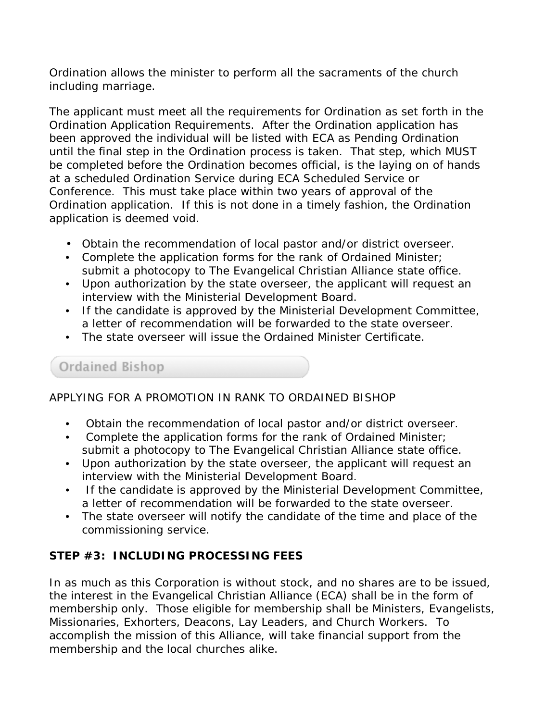Ordination allows the minister to perform all the sacraments of the church including marriage.

The applicant must meet all the requirements for Ordination as set forth in the Ordination Application Requirements. After the Ordination application has been approved the individual will be listed with ECA as Pending Ordination until the final step in the Ordination process is taken. That step, which MUST be completed before the Ordination becomes official, is the laying on of hands at a scheduled Ordination Service during ECA Scheduled Service or Conference. This must take place within two years of approval of the Ordination application. If this is not done in a timely fashion, the Ordination application is deemed void.

- Obtain the recommendation of local pastor and/or district overseer.
- Complete the application forms for the rank of Ordained Minister; submit a photocopy to The Evangelical Christian Alliance state office.
- Upon authorization by the state overseer, the applicant will request an interview with the Ministerial Development Board.
- If the candidate is approved by the Ministerial Development Committee, a letter of recommendation will be forwarded to the state overseer.
- The state overseer will issue the Ordained Minister Certificate.

Ordained Bishop

#### APPLYING FOR A PROMOTION IN RANK TO ORDAINED BISHOP

- Obtain the recommendation of local pastor and/or district overseer.
- Complete the application forms for the rank of Ordained Minister; submit a photocopy to The Evangelical Christian Alliance state office.
- Upon authorization by the state overseer, the applicant will request an interview with the Ministerial Development Board.
- If the candidate is approved by the Ministerial Development Committee, a letter of recommendation will be forwarded to the state overseer.
- The state overseer will notify the candidate of the time and place of the commissioning service.

#### **STEP #3: INCLUDING PROCESSING FEES**

In as much as this Corporation is without stock, and no shares are to be issued, the interest in the Evangelical Christian Alliance (ECA) shall be in the form of membership only. Those eligible for membership shall be Ministers, Evangelists, Missionaries, Exhorters, Deacons, Lay Leaders, and Church Workers. To accomplish the mission of this Alliance, will take financial support from the membership and the local churches alike.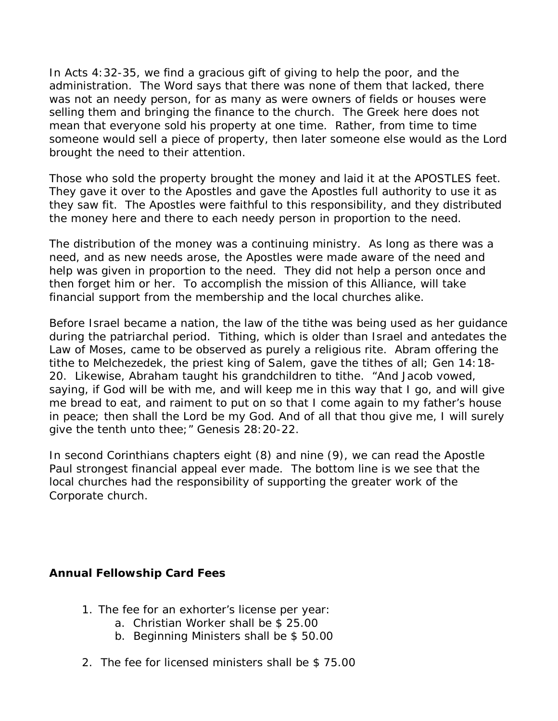In Acts 4:32-35, we find a gracious gift of giving to help the poor, and the administration. The Word says that there was none of them that lacked, there was not an needy person, for as many as were owners of fields or houses were selling them and bringing the finance to the church. The Greek here does not mean that everyone sold his property at one time. Rather, from time to time someone would sell a piece of property, then later someone else would as the Lord brought the need to their attention.

Those who sold the property brought the money and laid it at the APOSTLES feet. They gave it over to the Apostles and gave the Apostles full authority to use it as they saw fit. The Apostles were faithful to this responsibility, and they distributed the money here and there to each needy person in proportion to the need.

The distribution of the money was a continuing ministry. As long as there was a need, and as new needs arose, the Apostles were made aware of the need and help was given in proportion to the need. They did not help a person once and then forget him or her. To accomplish the mission of this Alliance, will take financial support from the membership and the local churches alike.

Before Israel became a nation, the law of the tithe was being used as her guidance during the patriarchal period. Tithing, which is older than Israel and antedates the Law of Moses, came to be observed as purely a religious rite. Abram offering the tithe to Melchezedek, the priest king of Salem, gave the tithes of all; Gen 14:18- 20. Likewise, Abraham taught his grandchildren to tithe. "And Jacob vowed, saying, if God will be with me, and will keep me in this way that I go, and will give me bread to eat, and raiment to put on so that I come again to my father's house in peace; then shall the Lord be my God. And of all that thou give me, I will surely give the tenth unto thee;" Genesis 28:20-22.

In second Corinthians chapters eight (8) and nine (9), we can read the Apostle Paul strongest financial appeal ever made. The bottom line is we see that the local churches had the responsibility of supporting the greater work of the Corporate church.

#### **Annual Fellowship Card Fees**

- 1. The fee for an exhorter's license per year:
	- a. Christian Worker shall be \$ 25.00
	- b. Beginning Ministers shall be \$ 50.00
- 2. The fee for licensed ministers shall be \$ 75.00